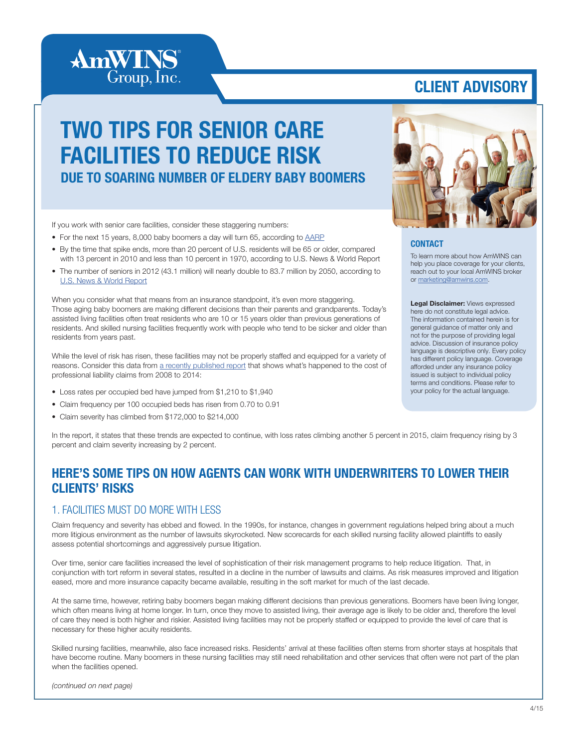

# CLIENT ADVISORY

# TWO TIPS FOR SENIOR CARE FACILITIES TO REDUCE RISK DUE TO SOARING NUMBER OF ELDERY BABY BOOMERS

If you work with senior care facilities, consider these staggering numbers:

- For the next 15 years, 8,000 baby boomers a day will turn 65, according to [AARP](http://www.aarp.org/personal-growth/transitions/boomers_65/)
- By the time that spike ends, more than 20 percent of U.S. residents will be 65 or older, compared with 13 percent in 2010 and less than 10 percent in 1970, according to U.S. News & World Report
- The number of seniors in 2012 (43.1 million) will nearly double to 83.7 million by 2050, according to [U.S. News & World Report](http://money.usnews.com/money/retirement/articles/2014/06/16/the-youngest-baby-boomers-turn-50)

When you consider what that means from an insurance standpoint, it's even more staggering. Those aging baby boomers are making different decisions than their parents and grandparents. Today's assisted living facilities often treat residents who are 10 or 15 years older than previous generations of residents. And skilled nursing facilities frequently work with people who tend to be sicker and older than residents from years past.

While the level of risk has risen, these facilities may not be properly staffed and equipped for a variety of reasons. Consider this data from [a recently published report](http://www.aon.com/risk-services/thought-leadership/report-2014-long-term-care.jsp) that shows what's happened to the cost of professional liability claims from 2008 to 2014:

- Loss rates per occupied bed have jumped from \$1,210 to \$1,940
- Claim frequency per 100 occupied beds has risen from 0.70 to 0.91
- Claim severity has climbed from \$172,000 to \$214,000



### **CONTACT**

To learn more about how AmWINS can help you place coverage for your clients, reach out to your local AmWINS broker or [marketing@amwins.com.](mailto:marketing%40amwins.com?subject=)

Legal Disclaimer: Views expressed here do not constitute legal advice. The information contained herein is for general guidance of matter only and not for the purpose of providing legal advice. Discussion of insurance policy language is descriptive only. Every policy has different policy language. Coverage afforded under any insurance policy issued is subject to individual policy terms and conditions. Please refer to your policy for the actual language.

In the report, it states that these trends are expected to continue, with loss rates climbing another 5 percent in 2015, claim frequency rising by 3 percent and claim severity increasing by 2 percent.

### HERE'S SOME TIPS ON HOW AGENTS CAN WORK WITH UNDERWRITERS TO LOWER THEIR CLIENTS' RISKS

### 1. FACILITIES MUST DO MORE WITH LESS

Claim frequency and severity has ebbed and flowed. In the 1990s, for instance, changes in government regulations helped bring about a much more litigious environment as the number of lawsuits skyrocketed. New scorecards for each skilled nursing facility allowed plaintiffs to easily assess potential shortcomings and aggressively pursue litigation.

Over time, senior care facilities increased the level of sophistication of their risk management programs to help reduce litigation. That, in conjunction with tort reform in several states, resulted in a decline in the number of lawsuits and claims. As risk measures improved and litigation eased, more and more insurance capacity became available, resulting in the soft market for much of the last decade.

At the same time, however, retiring baby boomers began making different decisions than previous generations. Boomers have been living longer, which often means living at home longer. In turn, once they move to assisted living, their average age is likely to be older and, therefore the level of care they need is both higher and riskier. Assisted living facilities may not be properly staffed or equipped to provide the level of care that is necessary for these higher acuity residents.

Skilled nursing facilities, meanwhile, also face increased risks. Residents' arrival at these facilities often stems from shorter stays at hospitals that have become routine. Many boomers in these nursing facilities may still need rehabilitation and other services that often were not part of the plan when the facilities opened.

*(continued on next page)*